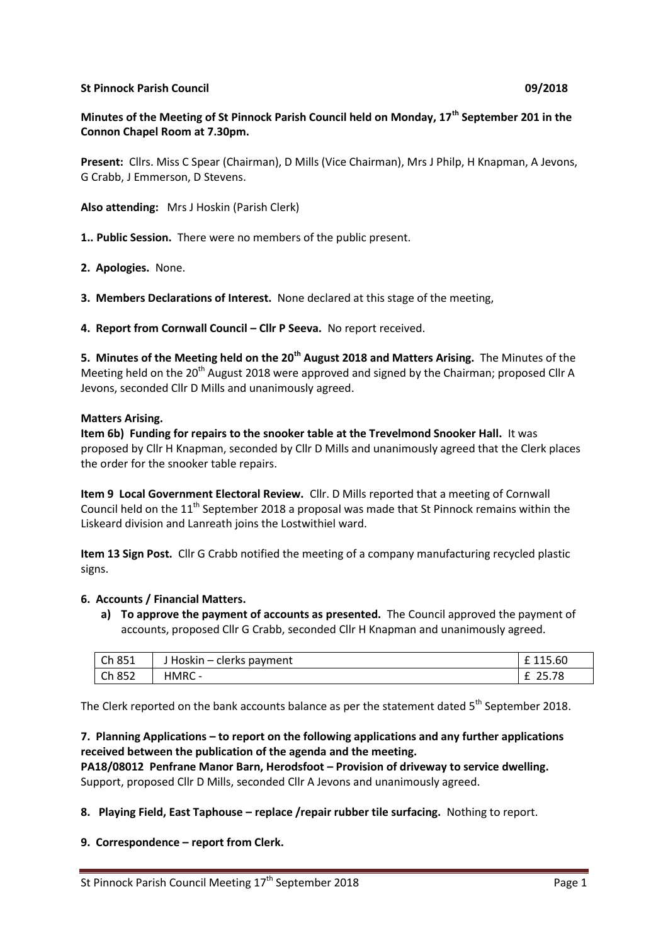### **St Pinnock Parish Council 09/2018**

# **Minutes of the Meeting of St Pinnock Parish Council held on Monday, 17th September 201 in the Connon Chapel Room at 7.30pm.**

**Present:** Cllrs. Miss C Spear (Chairman), D Mills (Vice Chairman), Mrs J Philp, H Knapman, A Jevons, G Crabb, J Emmerson, D Stevens.

**Also attending:** Mrs J Hoskin (Parish Clerk)

**1.. Public Session.** There were no members of the public present.

**2. Apologies.** None.

**3. Members Declarations of Interest.** None declared at this stage of the meeting,

**4. Report from Cornwall Council – Cllr P Seeva.** No report received.

**5. Minutes of the Meeting held on the 20th August 2018 and Matters Arising.** The Minutes of the Meeting held on the 20<sup>th</sup> August 2018 were approved and signed by the Chairman; proposed Cllr A Jevons, seconded Cllr D Mills and unanimously agreed.

#### **Matters Arising.**

**Item 6b) Funding for repairs to the snooker table at the Trevelmond Snooker Hall.** It was proposed by Cllr H Knapman, seconded by Cllr D Mills and unanimously agreed that the Clerk places the order for the snooker table repairs.

**Item 9 Local Government Electoral Review.** Cllr. D Mills reported that a meeting of Cornwall Council held on the  $11<sup>th</sup>$  September 2018 a proposal was made that St Pinnock remains within the Liskeard division and Lanreath joins the Lostwithiel ward.

**Item 13 Sign Post.** Cllr G Crabb notified the meeting of a company manufacturing recycled plastic signs.

### **6. Accounts / Financial Matters.**

**a) To approve the payment of accounts as presented.** The Council approved the payment of accounts, proposed Cllr G Crabb, seconded Cllr H Knapman and unanimously agreed.

| Ch 851 | J Hoskin – clerks payment | 115.60 |
|--------|---------------------------|--------|
| Ch 852 | <b>HMRC</b>               | 25.78  |

The Clerk reported on the bank accounts balance as per the statement dated  $5<sup>th</sup>$  September 2018.

### **7. Planning Applications – to report on the following applications and any further applications received between the publication of the agenda and the meeting.**

**PA18/08012 Penfrane Manor Barn, Herodsfoot – Provision of driveway to service dwelling.** Support, proposed Cllr D Mills, seconded Cllr A Jevons and unanimously agreed.

**8. Playing Field, East Taphouse – replace /repair rubber tile surfacing.** Nothing to report.

**9. Correspondence – report from Clerk.**